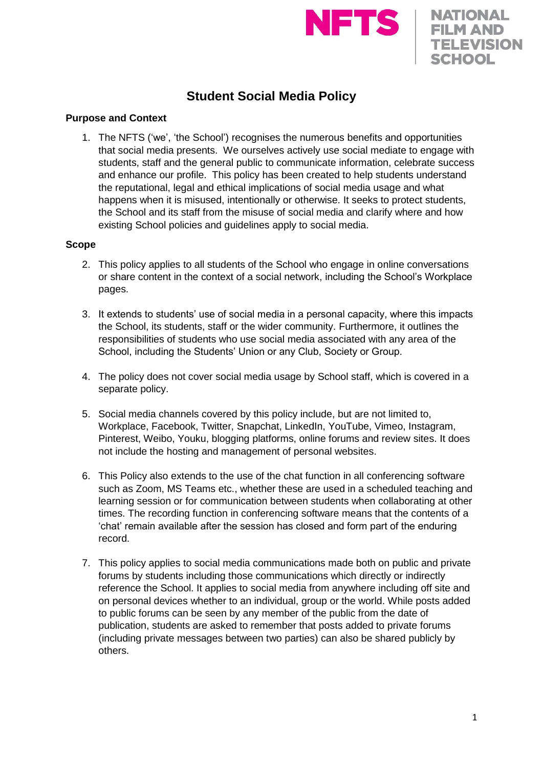

**NATIONAL FILM AND TELEVISION** 

**SCHOOL** 



### **Purpose and Context**

1. The NFTS ('we', 'the School') recognises the numerous benefits and opportunities that social media presents. We ourselves actively use social mediate to engage with students, staff and the general public to communicate information, celebrate success and enhance our profile. This policy has been created to help students understand the reputational, legal and ethical implications of social media usage and what happens when it is misused, intentionally or otherwise. It seeks to protect students, the School and its staff from the misuse of social media and clarify where and how existing School policies and guidelines apply to social media.

#### **Scope**

- 2. This policy applies to all students of the School who engage in online conversations or share content in the context of a social network, including the School's Workplace pages.
- 3. It extends to students' use of social media in a personal capacity, where this impacts the School, its students, staff or the wider community. Furthermore, it outlines the responsibilities of students who use social media associated with any area of the School, including the Students' Union or any Club, Society or Group.
- 4. The policy does not cover social media usage by School staff, which is covered in a separate policy.
- 5. Social media channels covered by this policy include, but are not limited to, Workplace, Facebook, Twitter, Snapchat, LinkedIn, YouTube, Vimeo, Instagram, Pinterest, Weibo, Youku, blogging platforms, online forums and review sites. It does not include the hosting and management of personal websites.
- 6. This Policy also extends to the use of the chat function in all conferencing software such as Zoom, MS Teams etc., whether these are used in a scheduled teaching and learning session or for communication between students when collaborating at other times. The recording function in conferencing software means that the contents of a 'chat' remain available after the session has closed and form part of the enduring record.
- 7. This policy applies to social media communications made both on public and private forums by students including those communications which directly or indirectly reference the School. It applies to social media from anywhere including off site and on personal devices whether to an individual, group or the world. While posts added to public forums can be seen by any member of the public from the date of publication, students are asked to remember that posts added to private forums (including private messages between two parties) can also be shared publicly by others.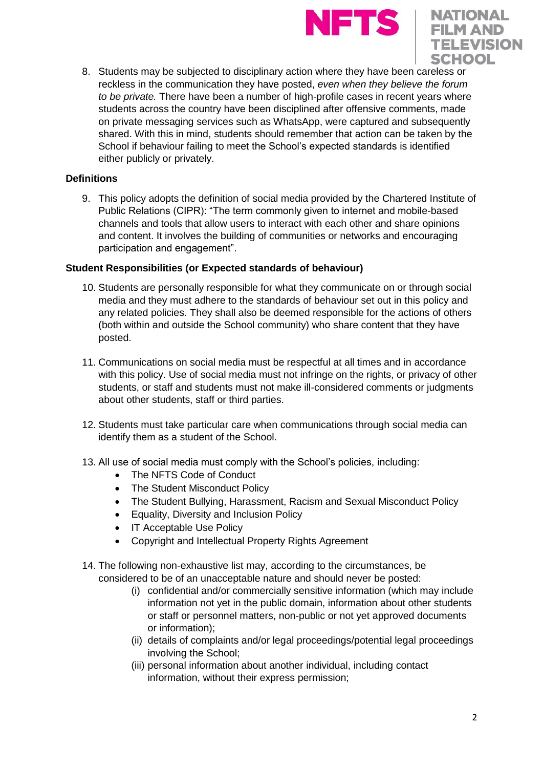



8. Students may be subjected to disciplinary action where they have been careless or reckless in the communication they have posted, *even when they believe the forum to be private.* There have been a number of high-profile cases in recent years where students across the country have been disciplined after offensive comments, made on private messaging services such as WhatsApp, were captured and subsequently shared. With this in mind, students should remember that action can be taken by the School if behaviour failing to meet the School's expected standards is identified either publicly or privately.

## **Definitions**

9. This policy adopts the definition of social media provided by the Chartered Institute of Public Relations (CIPR): "The term commonly given to internet and mobile-based channels and tools that allow users to interact with each other and share opinions and content. It involves the building of communities or networks and encouraging participation and engagement".

### **Student Responsibilities (or Expected standards of behaviour)**

- 10. Students are personally responsible for what they communicate on or through social media and they must adhere to the standards of behaviour set out in this policy and any related policies. They shall also be deemed responsible for the actions of others (both within and outside the School community) who share content that they have posted.
- 11. Communications on social media must be respectful at all times and in accordance with this policy. Use of social media must not infringe on the rights, or privacy of other students, or staff and students must not make ill-considered comments or judgments about other students, staff or third parties.
- 12. Students must take particular care when communications through social media can identify them as a student of the School.
- 13. All use of social media must comply with the School's policies, including:
	- The NFTS Code of Conduct
	- The Student Misconduct Policy
	- The Student Bullying, Harassment, Racism and Sexual Misconduct Policy
	- Equality, Diversity and Inclusion Policy
	- IT Acceptable Use Policy
	- Copyright and Intellectual Property Rights Agreement
- 14. The following non-exhaustive list may, according to the circumstances, be considered to be of an unacceptable nature and should never be posted:
	- (i) confidential and/or commercially sensitive information (which may include information not yet in the public domain, information about other students or staff or personnel matters, non-public or not yet approved documents or information);
	- (ii) details of complaints and/or legal proceedings/potential legal proceedings involving the School;
	- (iii) personal information about another individual, including contact information, without their express permission;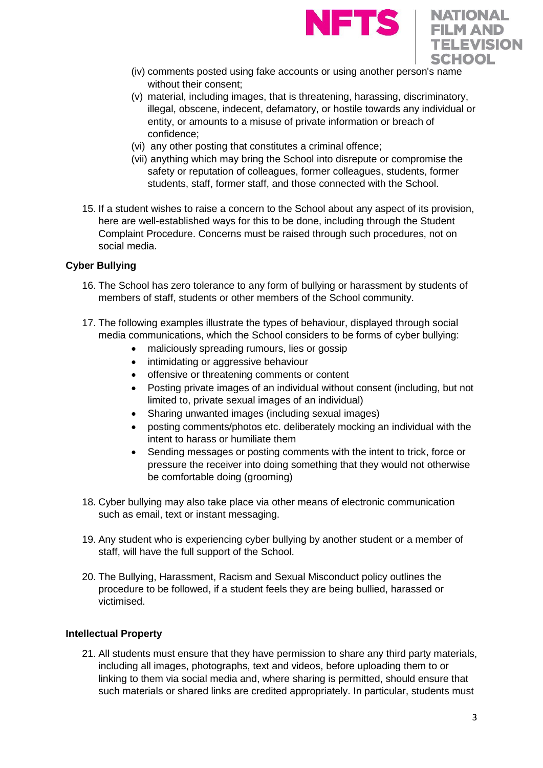



- (iv) comments posted using fake accounts or using another person's name without their consent;
- (v) material, including images, that is threatening, harassing, discriminatory, illegal, obscene, indecent, defamatory, or hostile towards any individual or entity, or amounts to a misuse of private information or breach of confidence;
- (vi) any other posting that constitutes a criminal offence;
- (vii) anything which may bring the School into disrepute or compromise the safety or reputation of colleagues, former colleagues, students, former students, staff, former staff, and those connected with the School.
- 15. If a student wishes to raise a concern to the School about any aspect of its provision, here are well-established ways for this to be done, including through the Student Complaint Procedure. Concerns must be raised through such procedures, not on social media.

## **Cyber Bullying**

- 16. The School has zero tolerance to any form of bullying or harassment by students of members of staff, students or other members of the School community.
- 17. The following examples illustrate the types of behaviour, displayed through social media communications, which the School considers to be forms of cyber bullying:
	- maliciously spreading rumours, lies or gossip
	- intimidating or aggressive behaviour
	- offensive or threatening comments or content
	- Posting private images of an individual without consent (including, but not limited to, private sexual images of an individual)
	- Sharing unwanted images (including sexual images)
	- posting comments/photos etc. deliberately mocking an individual with the intent to harass or humiliate them
	- Sending messages or posting comments with the intent to trick, force or pressure the receiver into doing something that they would not otherwise be comfortable doing (grooming)
- 18. Cyber bullying may also take place via other means of electronic communication such as email, text or instant messaging.
- 19. Any student who is experiencing cyber bullying by another student or a member of staff, will have the full support of the School.
- 20. The Bullying, Harassment, Racism and Sexual Misconduct policy outlines the procedure to be followed, if a student feels they are being bullied, harassed or victimised.

### **Intellectual Property**

21. All students must ensure that they have permission to share any third party materials, including all images, photographs, text and videos, before uploading them to or linking to them via social media and, where sharing is permitted, should ensure that such materials or shared links are credited appropriately. In particular, students must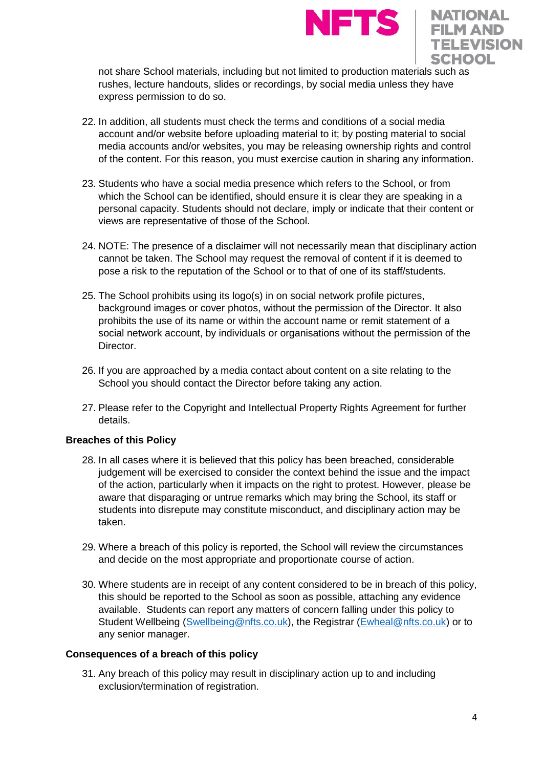



not share School materials, including but not limited to production materials such as rushes, lecture handouts, slides or recordings, by social media unless they have express permission to do so.

- 22. In addition, all students must check the terms and conditions of a social media account and/or website before uploading material to it; by posting material to social media accounts and/or websites, you may be releasing ownership rights and control of the content. For this reason, you must exercise caution in sharing any information.
- 23. Students who have a social media presence which refers to the School, or from which the School can be identified, should ensure it is clear they are speaking in a personal capacity. Students should not declare, imply or indicate that their content or views are representative of those of the School.
- 24. NOTE: The presence of a disclaimer will not necessarily mean that disciplinary action cannot be taken. The School may request the removal of content if it is deemed to pose a risk to the reputation of the School or to that of one of its staff/students.
- 25. The School prohibits using its logo(s) in on social network profile pictures, background images or cover photos, without the permission of the Director. It also prohibits the use of its name or within the account name or remit statement of a social network account, by individuals or organisations without the permission of the Director.
- 26. If you are approached by a media contact about content on a site relating to the School you should contact the Director before taking any action.
- 27. Please refer to the Copyright and Intellectual Property Rights Agreement for further details.

# **Breaches of this Policy**

- 28. In all cases where it is believed that this policy has been breached, considerable judgement will be exercised to consider the context behind the issue and the impact of the action, particularly when it impacts on the right to protest. However, please be aware that disparaging or untrue remarks which may bring the School, its staff or students into disrepute may constitute misconduct, and disciplinary action may be taken.
- 29. Where a breach of this policy is reported, the School will review the circumstances and decide on the most appropriate and proportionate course of action.
- 30. Where students are in receipt of any content considered to be in breach of this policy, this should be reported to the School as soon as possible, attaching any evidence available. Students can report any matters of concern falling under this policy to Student Wellbeing [\(Swellbeing@nfts.co.uk\)](mailto:Swellbeing@nfts.co.uk), the Registrar [\(Ewheal@nfts.co.uk\)](mailto:Ewheal@nfts.co.uk) or to any senior manager.

### **Consequences of a breach of this policy**

31. Any breach of this policy may result in disciplinary action up to and including exclusion/termination of registration.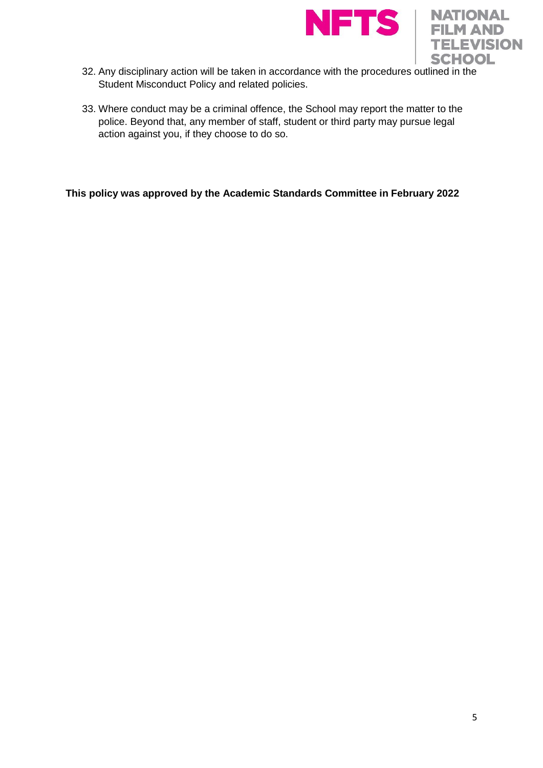



- 32. Any disciplinary action will be taken in accordance with the procedures outlined in the Student Misconduct Policy and related policies.
- 33. Where conduct may be a criminal offence, the School may report the matter to the police. Beyond that, any member of staff, student or third party may pursue legal action against you, if they choose to do so.

**This policy was approved by the Academic Standards Committee in February 2022**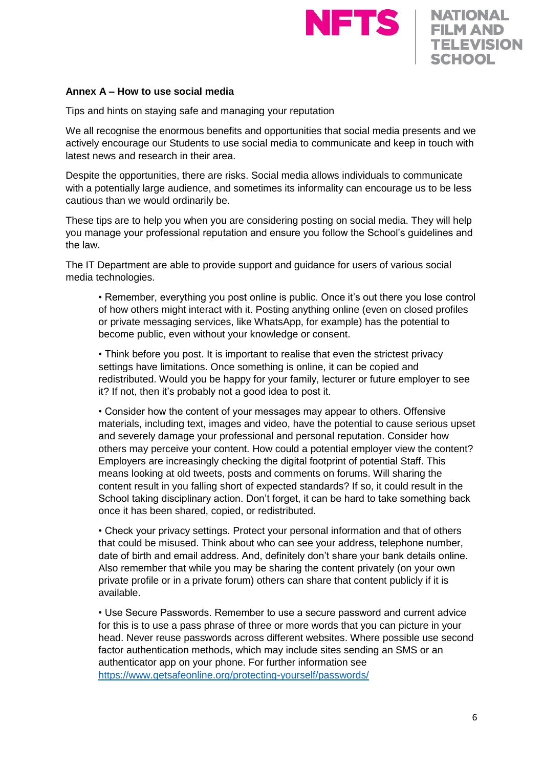



### **Annex A – How to use social media**

Tips and hints on staying safe and managing your reputation

We all recognise the enormous benefits and opportunities that social media presents and we actively encourage our Students to use social media to communicate and keep in touch with latest news and research in their area.

Despite the opportunities, there are risks. Social media allows individuals to communicate with a potentially large audience, and sometimes its informality can encourage us to be less cautious than we would ordinarily be.

These tips are to help you when you are considering posting on social media. They will help you manage your professional reputation and ensure you follow the School's guidelines and the law.

The IT Department are able to provide support and guidance for users of various social media technologies.

• Remember, everything you post online is public. Once it's out there you lose control of how others might interact with it. Posting anything online (even on closed profiles or private messaging services, like WhatsApp, for example) has the potential to become public, even without your knowledge or consent.

• Think before you post. It is important to realise that even the strictest privacy settings have limitations. Once something is online, it can be copied and redistributed. Would you be happy for your family, lecturer or future employer to see it? If not, then it's probably not a good idea to post it.

• Consider how the content of your messages may appear to others. Offensive materials, including text, images and video, have the potential to cause serious upset and severely damage your professional and personal reputation. Consider how others may perceive your content. How could a potential employer view the content? Employers are increasingly checking the digital footprint of potential Staff. This means looking at old tweets, posts and comments on forums. Will sharing the content result in you falling short of expected standards? If so, it could result in the School taking disciplinary action. Don't forget, it can be hard to take something back once it has been shared, copied, or redistributed.

• Check your privacy settings. Protect your personal information and that of others that could be misused. Think about who can see your address, telephone number, date of birth and email address. And, definitely don't share your bank details online. Also remember that while you may be sharing the content privately (on your own private profile or in a private forum) others can share that content publicly if it is available.

• Use Secure Passwords. Remember to use a secure password and current advice for this is to use a pass phrase of three or more words that you can picture in your head. Never reuse passwords across different websites. Where possible use second factor authentication methods, which may include sites sending an SMS or an authenticator app on your phone. For further information see <https://www.getsafeonline.org/protecting-yourself/passwords/>